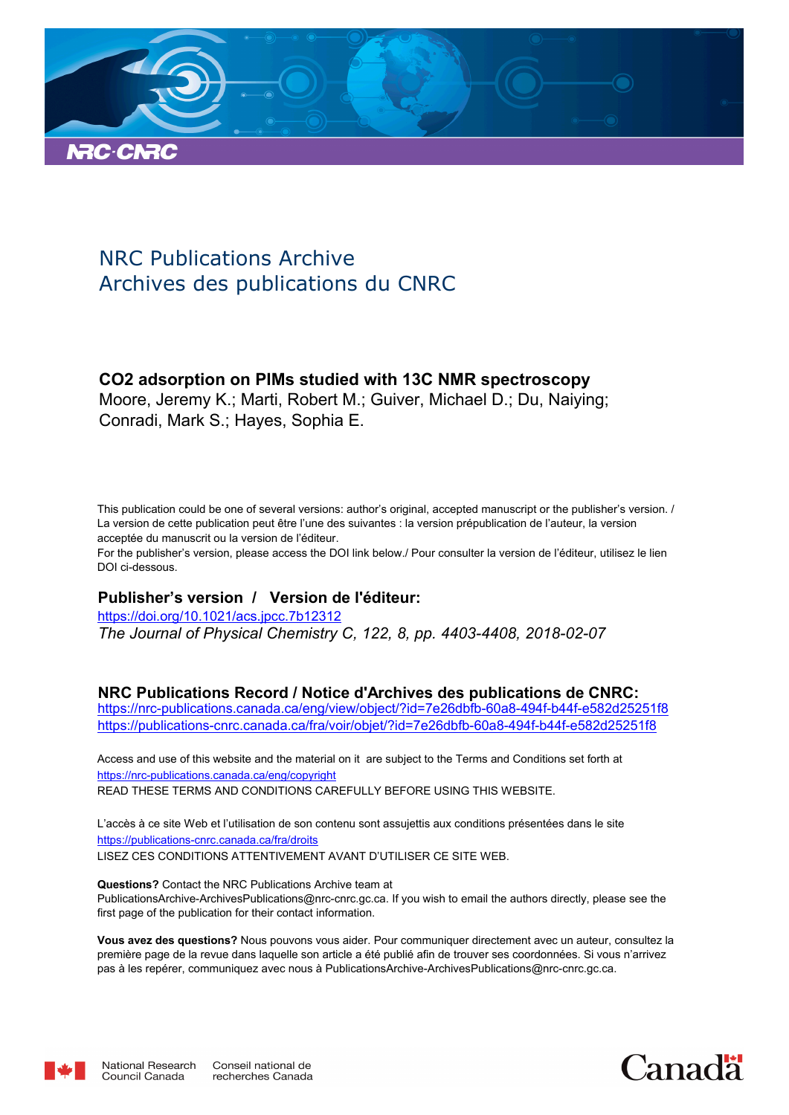

# NRC Publications Archive Archives des publications du CNRC

# **CO2 adsorption on PIMs studied with 13C NMR spectroscopy**

Moore, Jeremy K.; Marti, Robert M.; Guiver, Michael D.; Du, Naiying; Conradi, Mark S.; Hayes, Sophia E.

This publication could be one of several versions: author's original, accepted manuscript or the publisher's version. / La version de cette publication peut être l'une des suivantes : la version prépublication de l'auteur, la version acceptée du manuscrit ou la version de l'éditeur.

For the publisher's version, please access the DOI link below./ Pour consulter la version de l'éditeur, utilisez le lien DOI ci-dessous.

# **Publisher's version / Version de l'éditeur:**

*The Journal of Physical Chemistry C, 122, 8, pp. 4403-4408, 2018-02-07* https://doi.org/10.1021/acs.jpcc.7b12312

# **NRC Publications Record / Notice d'Archives des publications de CNRC:**

https://nrc-publications.canada.ca/eng/view/object/?id=7e26dbfb-60a8-494f-b44f-e582d25251f8 https://publications-cnrc.canada.ca/fra/voir/objet/?id=7e26dbfb-60a8-494f-b44f-e582d25251f8

READ THESE TERMS AND CONDITIONS CAREFULLY BEFORE USING THIS WEBSITE. https://nrc-publications.canada.ca/eng/copyright Access and use of this website and the material on it are subject to the Terms and Conditions set forth at

https://publications-cnrc.canada.ca/fra/droits L'accès à ce site Web et l'utilisation de son contenu sont assujettis aux conditions présentées dans le site LISEZ CES CONDITIONS ATTENTIVEMENT AVANT D'UTILISER CE SITE WEB.

**Questions?** Contact the NRC Publications Archive team at PublicationsArchive-ArchivesPublications@nrc-cnrc.gc.ca. If you wish to email the authors directly, please see the first page of the publication for their contact information.

**Vous avez des questions?** Nous pouvons vous aider. Pour communiquer directement avec un auteur, consultez la première page de la revue dans laquelle son article a été publié afin de trouver ses coordonnées. Si vous n'arrivez pas à les repérer, communiquez avec nous à PublicationsArchive-ArchivesPublications@nrc-cnrc.gc.ca.



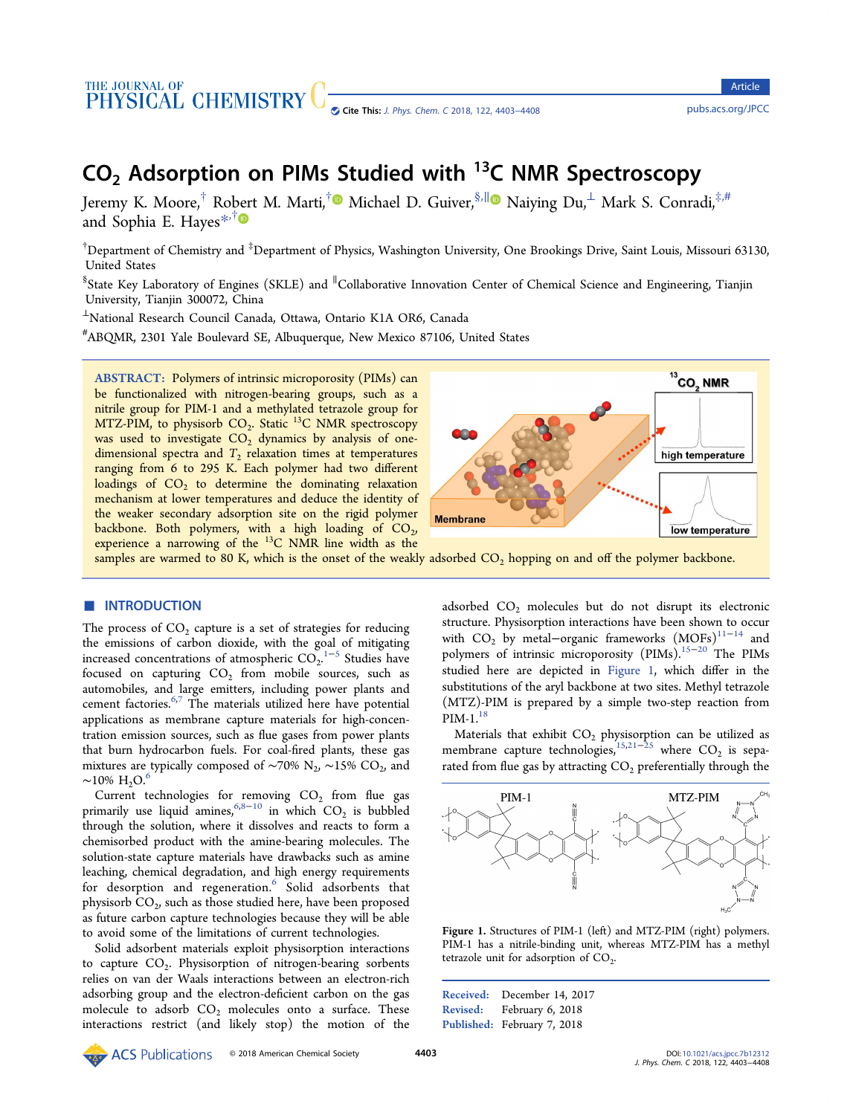# <span id="page-1-0"></span>THE JOURNAL OF **CHEMISTRY** Cite This: J. Phys. Chem. C [2018, 122, 4403](http://pubs.acs.org/action/showCitFormats?doi=10.1021/acs.jpcc.7b12312)–4408 <pubs.acs.org/JPCC>

# $CO<sub>2</sub>$  Adsorption on PIMs Studied with <sup>13</sup>C NMR Spectroscopy

Jeremy K. Moore,<sup>†</sup> Ro[ber](#page-5-0)t M. Marti,<sup>†</sup>® Michael D. Guiver,<sup>§,∥</sup>® Naiying Du,<sup>⊥</sup> Mark S. Conradi,<sup>‡,#</sup> and Sophia E. Hayes $*$ <sup>†</sup>

 $^\dagger$ Department of Chemistry and  $^\ddagger$ Department of Physics, Washington University, One Brookings Drive, Saint Louis, Missouri 63130, United States

§<br>§State Key Laboratory of Engines (SKLE) and <sup>∥</sup>Collaborative Innovation Center of Chemical Science and Engineering, Tianjin University, Tianjin 300072, China

<sup>⊥</sup>National Research Council Canada, Ottawa, Ontario K1A OR6, Canada

# ABQMR, 2301 Yale Boulevard SE, Albuquerque, New Mexico 87106, United States

ABSTRACT: Polymers of intrinsic microporosity (PIMs) can be functionalized with nitrogen-bearing groups, such as a nitrile group for PIM-1 and a methylated tetrazole group for MTZ-PIM, to physisorb  $\text{CO}_2$ . Static  $^{13}\text{C}$  NMR spectroscopy was used to investigate  $CO<sub>2</sub>$  dynamics by analysis of one- ${\rm dimensional}$  spectra and  $T_2$  relaxation times at temperatures ranging from 6 to 295 K. Each polymer had two different loadings of  $\text{CO}_2$  to determine the dominating relaxation mechanism at lower temperatures and deduce the identity of the weaker secondary adsorption site on the rigid polymer backbone. Both polymers, with a high loading of  $CO<sub>2</sub>$ , , experience a narrowing of the <sup>13</sup>C NMR line width as the



samples are warmed to 80 K, which is the onset of the weakly adsorbed  $CO<sub>2</sub>$  hopping on and off the polymer backbone.

### **ENTRODUCTION**

The process of  $\mathrm{CO}_2$  capture is a set of strategies for reducing the emissions of carbon dioxide, with the goal of mitigating increased concentrations of atmospheric  $CO_2$ <sup>[1](#page-6-0)-[5](#page-6-0)</sup> Studies have . focused on capturing  $CO<sub>2</sub>$  from mobile sources, such as automobiles, and large emitters, including power plants and cement factories.<sup>[6,7](#page-6-0)</sup> The materials utilized here have potential applications as membrane capture materials for high-concentration emission sources, such as flue gases from power plants that burn hydrocarbon fuels. For coal-fired plants, these gas mixtures are typically composed of ∼70%  $\rm N_2$ , ∼15%  $\rm CO_2$ , and  $\sim$ 10% H<sub>2</sub>O.<sup>[6](#page-6-0)</sup>

Current technologies for removing  $CO<sub>2</sub>$  from flue gas primarily use liquid amines,  $6.8-10$  $6.8-10$  $6.8-10$  $6.8-10$  $6.8-10$  in which  $CO<sub>2</sub>$  is bubbled through the solution, where it dissolves and reacts to form a chemisorbed product with the amine-bearing molecules. The solution-state capture materials have drawbacks such as amine leaching, chemical degradation, and high energy requirements for desorption and regeneration.<sup>[6](#page-6-0)</sup> Solid adsorbents that physisorb  $\mathrm{CO}_2$ , such as those studied here, have been proposed as future carbon capture technologies because they will be able to avoid some of the limitations of current technologies.

Solid adsorbent materials exploit physisorption interactions to capture CO<sub>2</sub>. Physisorption of nitrogen-bearing sorbents relies on van der Waals interactions between an electron-rich adsorbing group and the electron-deficient carbon on the gas molecule to adsorb  $CO<sub>2</sub>$  molecules onto a surface. These interactions restrict (and likely stop) the motion of the

adsorbed  $CO<sub>2</sub>$  molecules but do not disrupt its electronic structure. Physisorption interactions have been shown to occur with  $CO<sub>2</sub>$  by metal–organic frameworks  $(MOFs)$ <sup>[11](#page-6-0)−[14](#page-6-0)</sup> and polymers of intrinsic microporosity (PIMs).<sup>[15](#page-6-0)−[20](#page-6-0)</sup> The PIMs studied here are depicted in Figure 1, which differ in the substitutions of the aryl backbone at two sites. Methyl tetrazole (MTZ)-PIM is prepared by a simple two-step reaction from  $PIM-1.<sup>18</sup>$  $PIM-1.<sup>18</sup>$  $PIM-1.<sup>18</sup>$ 

Materials that exhibit  $CO<sub>2</sub>$  physisorption can be utilized as membrane capture technologies,<sup>[15,21](#page-6-0)–[25](#page-6-0)</sup> where  $CO_2$  is separated from flue gas by attracting  $CO<sub>2</sub>$  preferentially through the



Figure 1. Structures of PIM-1 (left) and MTZ-PIM (right) polymers. PIM-1 has a nitrile-binding unit, whereas MTZ-PIM has a methyl tetrazole unit for adsorption of  $CO<sub>2</sub>$ . .

Received: December 14, 2017 Revised: February 6, 2018 Published: February 7, 2018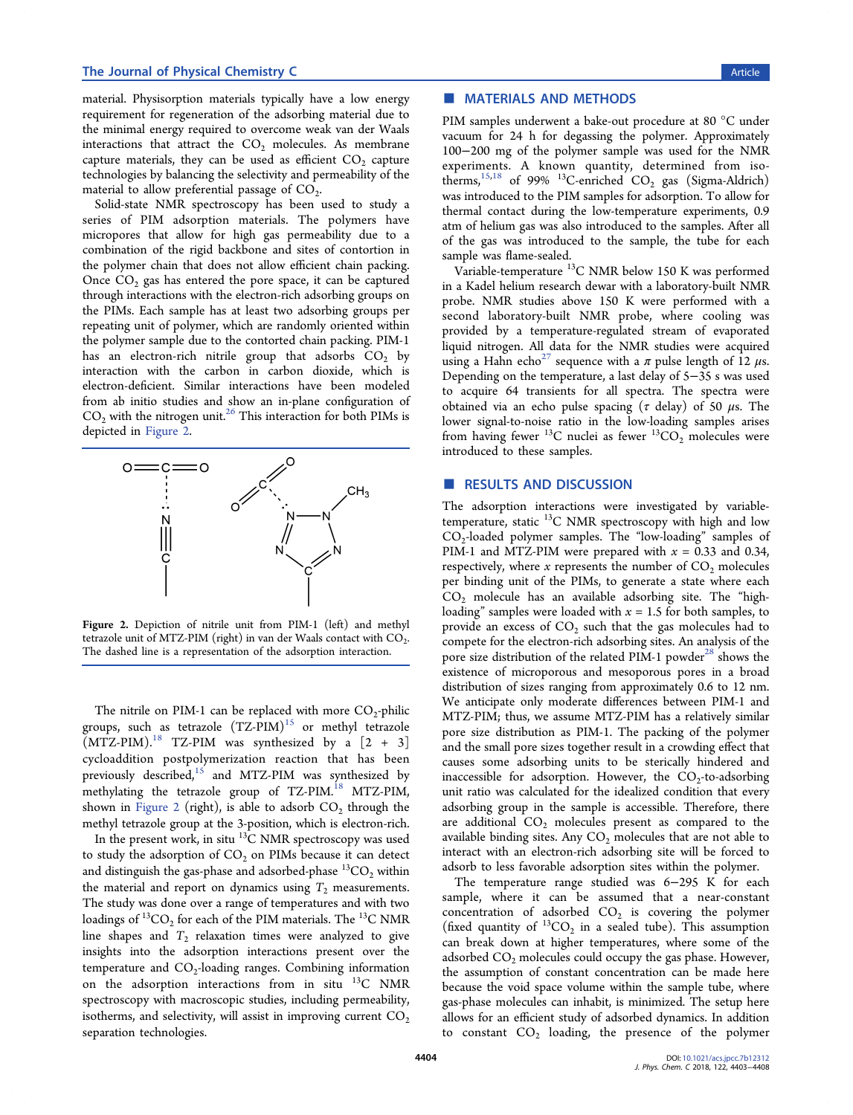#### The Journal of Physical Chemistry C and the Second Second Second Second Second Second Second Second Second Second Second Second Second Second Second Second Second Second Second Second Second Second Second Second Second Sec

material. Physisorption materials typically have a low energy requirement for regeneration of the adsorbing material due to the minimal energy required to overcome weak van der Waals interactions that attract the  $CO<sub>2</sub>$  molecules. As membrane capture materials, they can be used as efficient  $CO_2$  capture technologies by balancing the selectivity and permeability of the material to allow preferential passage of  $CO<sub>2</sub>$ . .

Solid-state NMR spectroscopy has been used to study a series of PIM adsorption materials. The polymers have micropores that allow for high gas permeability due to a combination of the rigid backbone and sites of contortion in the polymer chain that does not allow efficient chain packing. Once  $CO<sub>2</sub>$  gas has entered the pore space, it can be captured through interactions with the electron-rich adsorbing groups on the PIMs. Each sample has at least two adsorbing groups per repeating unit of polymer, which are randomly oriented within the polymer sample due to the contorted chain packing. PIM-1 has an electron-rich nitrile group that adsorbs  $CO<sub>2</sub>$  by interaction with the carbon in carbon dioxide, which is electron-deficient. Similar interactions have been modeled from ab initio studies and show an in-plane configuration of  $CO<sub>2</sub>$  with the nitrogen unit.<sup>[26](#page-6-0)</sup> This interaction for both PIMs is depicted in Figure 2.



Figure 2. Depiction of nitrile unit from PIM-1 (left) and methyl tetrazole unit of MTZ-PIM (right) in van der Waals contact with  $CO<sub>2</sub>$ . . The dashed line is a representation of the adsorption interaction.

The nitrile on PIM-1 can be replaced with more  $CO_2$ -philic groups, such as tetrazole  $(TZ-PIM)^{15}$  $(TZ-PIM)^{15}$  $(TZ-PIM)^{15}$  or methyl tetrazole  $(MTZ-PIM).$ <sup>[18](#page-6-0)</sup> TZ-PIM was synthesized by a  $[2 + 3]$ cycloaddition postpolymerization reaction that has been previously described, $15$  and MTZ-PIM was synthesized by methylating the tetrazole group of TZ-PIM.<sup>[18](#page-6-0)</sup> MTZ-PIM, shown in Figure 2 (right), is able to adsorb  $CO_2$  through the methyl tetrazole group at the 3-position, which is electron-rich.

In the present work, in situ  $^{13}$ C NMR spectroscopy was used to study the adsorption of  $CO<sub>2</sub>$  on PIMs because it can detect and distinguish the gas-phase and adsorbed-phase  ${}^{13}CO_2$  within the material and report on dynamics using  $T_2$  measurements. The study was done over a range of temperatures and with two loadings of  $^{13}CO_{2}$  for each of the PIM materials. The  $^{13}$ C NMR line shapes and  $T_2$  relaxation times were analyzed to give insights into the adsorption interactions present over the temperature and  $CO_2$ -loading ranges. Combining information on the adsorption interactions from in situ  $^{13}$ C NMR spectroscopy with macroscopic studies, including permeability, isotherms, and selectivity, will assist in improving current  $CO<sub>2</sub>$ separation technologies.

### ■ MATERIALS AND METHODS

PIM samples underwent a bake-out procedure at 80 °C under vacuum for 24 h for degassing the polymer. Approximately 100−200 mg of the polymer sample was used for the NMR experiments. A known quantity, determined from isotherms, $15,18$  of 99%  $13$ C-enriched CO<sub>2</sub> gas (Sigma-Aldrich) was introduced to the PIM samples for adsorption. To allow for thermal contact during the low-temperature experiments, 0.9 atm of helium gas was also introduced to the samples. After all of the gas was introduced to the sample, the tube for each sample was flame-sealed.

Variable-temperature  $^{13}$ C NMR below 150 K was performed in a Kadel helium research dewar with a laboratory-built NMR probe. NMR studies above 150 K were performed with a second laboratory-built NMR probe, where cooling was provided by a temperature-regulated stream of evaporated liquid nitrogen. All data for the NMR studies were acquired using a Hahn echo<sup>[27](#page-6-0)</sup> sequence with a  $\pi$  pulse length of 12  $\mu$ s. Depending on the temperature, a last delay of 5−35 s was used to acquire 64 transients for all spectra. The spectra were obtained via an echo pulse spacing ( $\tau$  delay) of 50  $\mu$ s. The lower signal-to-noise ratio in the low-loading samples arises from having fewer <sup>13</sup>C nuclei as fewer  $^{13}CO_2$  molecules were introduced to these samples.

### ■ RESULTS AND DISCUSSION

The adsorption interactions were investigated by variabletemperature, static  ${}^{13}C$  NMR spectroscopy with high and low CO<sup>2</sup> -loaded polymer samples. The "low-loading" samples of PIM-1 and MTZ-PIM were prepared with *x* = 0.33 and 0.34, respectively, where  $x$  represents the number of  $CO<sub>2</sub>$  molecules per binding unit of the PIMs, to generate a state where each  $CO<sub>2</sub>$  molecule has an available adsorbing site. The "highloading" samples were loaded with *x* = 1.5 for both samples, to provide an excess of  $\mathrm{CO}_2$  such that the gas molecules had to compete for the electron-rich adsorbing sites. An analysis of the pore size distribution of the related PIM-1 powder<sup>[28](#page-6-0)</sup> shows the existence of microporous and mesoporous pores in a broad distribution of sizes ranging from approximately 0.6 to 12 nm. We anticipate only moderate differences between PIM-1 and MTZ-PIM; thus, we assume MTZ-PIM has a relatively similar pore size distribution as PIM-1. The packing of the polymer and the small pore sizes together result in a crowding effect that causes some adsorbing units to be sterically hindered and inaccessible for adsorption. However, the  $CO_2$ -to-adsorbing unit ratio was calculated for the idealized condition that every adsorbing group in the sample is accessible. Therefore, there are additional  $CO<sub>2</sub>$  molecules present as compared to the available binding sites. Any  $CO<sub>2</sub>$  molecules that are not able to interact with an electron-rich adsorbing site will be forced to adsorb to less favorable adsorption sites within the polymer.

The temperature range studied was 6−295 K for each sample, where it can be assumed that a near-constant concentration of adsorbed  $CO<sub>2</sub>$  is covering the polymer (fixed quantity of  ${}^{13}CO_2$  in a sealed tube). This assumption can break down at higher temperatures, where some of the adsorbed  $CO<sub>2</sub>$  molecules could occupy the gas phase. However, the assumption of constant concentration can be made here because the void space volume within the sample tube, where gas-phase molecules can inhabit, is minimized. The setup here allows for an efficient study of adsorbed dynamics. In addition to constant  $CO<sub>2</sub>$  loading, the presence of the polymer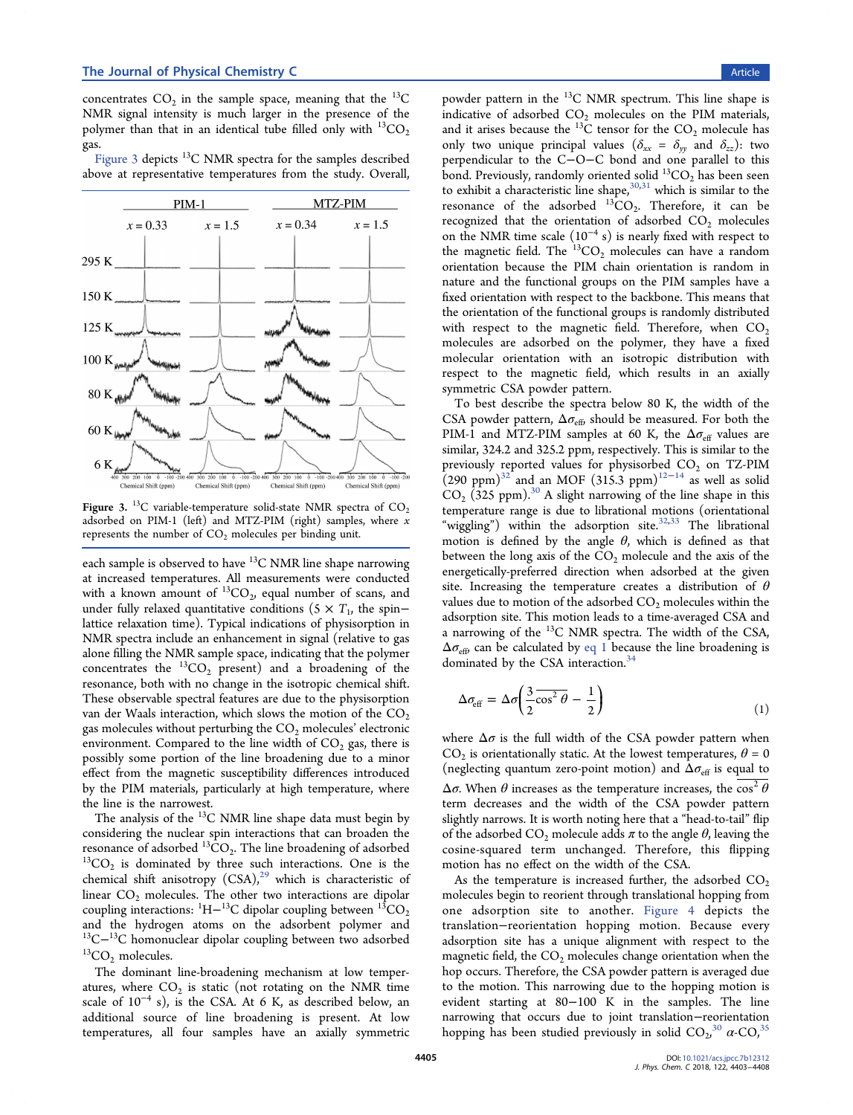concentrates  $CO_2$  in the sample space, meaning that the <sup>13</sup>C NMR signal intensity is much larger in the presence of the polymer than that in an identical tube filled only with  ${}^{13}CO<sub>2</sub>$ gas.

Figure 3 depicts <sup>13</sup>C NMR spectra for the samples described above at representative temperatures from the study. Overall,



Figure 3. <sup>13</sup>C variable-temperature solid-state NMR spectra of  $CO<sub>2</sub>$ adsorbed on PIM-1 (left) and MTZ-PIM (right) samples, where *x* represents the number of  $CO<sub>2</sub>$  molecules per binding unit.

each sample is observed to have  ${}^{13}C$  NMR line shape narrowing at increased temperatures. All measurements were conducted with a known amount of  ${}^{13}CO_2$ , equal number of scans, and under fully relaxed quantitative conditions (5  $\times$   $T_{1}$ , the spin− lattice relaxation time). Typical indications of physisorption in NMR spectra include an enhancement in signal (relative to gas alone filling the NMR sample space, indicating that the polymer concentrates the  ${}^{13}CO_2$  present) and a broadening of the resonance, both with no change in the isotropic chemical shift. These observable spectral features are due to the physisorption van der Waals interaction, which slows the motion of the  $CO<sub>2</sub>$ gas molecules without perturbing the  $CO<sub>2</sub>$  molecules' electronic environment. Compared to the line width of  $CO<sub>2</sub>$  gas, there is possibly some portion of the line broadening due to a minor effect from the magnetic susceptibility differences introduced by the PIM materials, particularly at high temperature, where the line is the narrowest.

The analysis of the  $^{13}$ C NMR line shape data must begin by considering the nuclear spin interactions that can broaden the resonance of adsorbed  ${}^{13}CO_2$ . The line broadening of adsorbed  $^{13}CO<sub>2</sub>$  is dominated by three such interactions. One is the chemical shift anisotropy  $(CSA)$ ,<sup>[29](#page-6-0)</sup> which is characteristic of linear  $CO<sub>2</sub>$  molecules. The other two interactions are dipolar coupling interactions:  $\rm ^1H-^{13}C$  dipolar coupling between  $\rm ^{13}CO_2$ and the hydrogen atoms on the adsorbent polymer and <sup>13</sup>C−<sup>13</sup>C homonuclear dipolar coupling between two adsorbed  ${}^{13}CO_2$  molecules.

The dominant line-broadening mechanism at low temperatures, where  $CO<sub>2</sub>$  is static (not rotating on the NMR time scale of  $10^{-4}$  s), is the CSA. At 6 K, as described below, an additional source of line broadening is present. At low temperatures, all four samples have an axially symmetric powder pattern in the <sup>13</sup>C NMR spectrum. This line shape is indicative of adsorbed  $CO<sub>2</sub>$  molecules on the PIM materials, and it arises because the  $^{13}$ C tensor for the CO<sub>2</sub> molecule has only two unique principal values ( $\delta_{xx} = \delta_{yy}$  and  $\delta_{zz}$ ): two perpendicular to the C−O−C bond and one parallel to this bond. Previously, randomly oriented solid  ${}^{13}CO_2$  has been seen to exhibit a characteristic line shape,  $30,31$  which is similar to the resonance of the adsorbed  ${}^{13}CO_2$ . Therefore, it can be recognized that the orientation of adsorbed  $CO<sub>2</sub>$  molecules on the NMR time scale (10<sup>−</sup><sup>4</sup> s) is nearly fixed with respect to the magnetic field. The  ${}^{13}CO$ , molecules can have a random orientation because the PIM chain orientation is random in nature and the functional groups on the PIM samples have a fixed orientation with respect to the backbone. This means that the orientation of the functional groups is randomly distributed with respect to the magnetic field. Therefore, when  $CO<sub>2</sub>$ molecules are adsorbed on the polymer, they have a fixed molecular orientation with an isotropic distribution with respect to the magnetic field, which results in an axially symmetric CSA powder pattern.

To best describe the spectra below 80 K, the width of the CSA powder pattern,  $\Delta\sigma_{\text{eff}}$ , should be measured. For both the PIM-1 and MTZ-PIM samples at 60 K, the  $\Delta\sigma_{\text{eff}}$  values are similar, 324.2 and 325.2 ppm, respectively. This is similar to the previously reported values for physisorbed  $CO<sub>2</sub>$  on TZ-PIM  $(290 \text{ ppm})^{32}$  $(290 \text{ ppm})^{32}$  $(290 \text{ ppm})^{32}$  and an MOF  $(315.3 \text{ ppm})^{12-14}$  $(315.3 \text{ ppm})^{12-14}$  $(315.3 \text{ ppm})^{12-14}$  $(315.3 \text{ ppm})^{12-14}$  $(315.3 \text{ ppm})^{12-14}$  as well as solid  $CO<sub>2</sub>$  (325 ppm).<sup>[30](#page-6-0)</sup> A slight narrowing of the line shape in this temperature range is due to librational motions (orientational "wiggling") within the adsorption site. $32,33$  $32,33$  $32,33$  The librational motion is defined by the angle  $\theta$ , which is defined as that between the long axis of the  $CO<sub>2</sub>$  molecule and the axis of the energetically-preferred direction when adsorbed at the given site. Increasing the temperature creates a distribution of  $\theta$ values due to motion of the adsorbed  $CO<sub>2</sub>$  molecules within the adsorption site. This motion leads to a time-averaged CSA and a narrowing of the <sup>13</sup>C NMR spectra. The width of the CSA,  $\Delta\sigma_{\text{eff}}$  can be calculated by eq 1 because the line broadening is dominated by the CSA interaction.<sup>[34](#page-6-0)</sup>

$$
\Delta \sigma_{\rm eff} = \Delta \sigma \left( \frac{3}{2} \overline{\cos^2 \theta} - \frac{1}{2} \right) \tag{1}
$$

where  $\Delta \sigma$  is the full width of the CSA powder pattern when  $CO<sub>2</sub>$  is orientationally static. At the lowest temperatures,  $\theta = 0$ (neglecting quantum zero-point motion) and  $\Delta\sigma_{\text{eff}}$  is equal to  $\Delta \sigma$ . When  $\theta$  increases as the temperature increases, the  $\overline{\cos^2 \theta}$ term decreases and the width of the CSA powder pattern slightly narrows. It is worth noting here that a "head-to-tail" flip of the adsorbed  $CO_2$  molecule adds  $\pi$  to the angle  $\theta$ , leaving the cosine-squared term unchanged. Therefore, this flipping motion has no effect on the width of the CSA.

As the temperature is increased further, the adsorbed  $CO<sub>2</sub>$ molecules begin to reorient through translational hopping from one adsorption site to another. [Figure 4](#page-4-0) depicts the translation−reorientation hopping motion. Because every adsorption site has a unique alignment with respect to the magnetic field, the  $CO<sub>2</sub>$  molecules change orientation when the hop occurs. Therefore, the CSA powder pattern is averaged due to the motion. This narrowing due to the hopping motion is evident starting at 80−100 K in the samples. The line narrowing that occurs due to joint translation−reorientation hopping has been studied previously in solid  ${CO_2}^{30}$  ${CO_2}^{30}$  ${CO_2}^{30}$   $\alpha$ -CO<sub>2</sub><sup>[35](#page-6-0)</sup> ,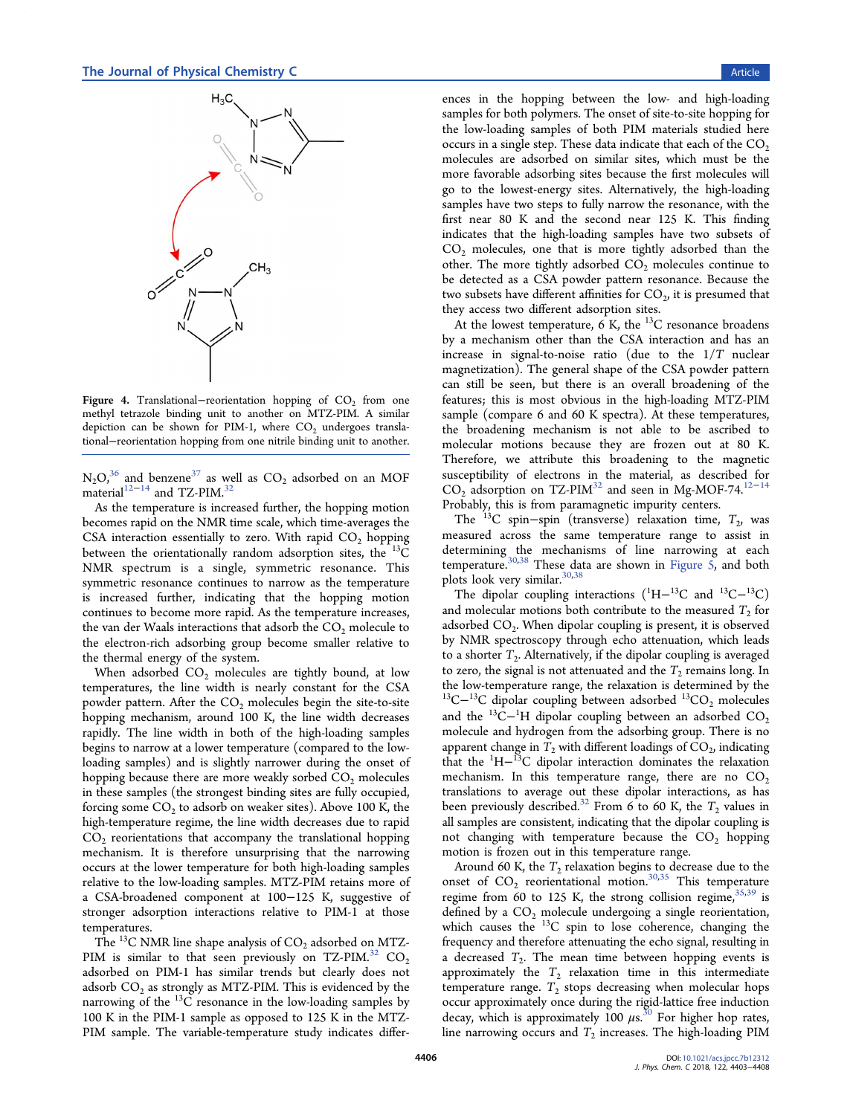<span id="page-4-0"></span>

Figure 4. Translational–reorientation hopping of  $CO<sub>2</sub>$  from one methyl tetrazole binding unit to another on MTZ-PIM. A similar depiction can be shown for PIM-1, where  $CO<sub>2</sub>$  undergoes translational−reorientation hopping from one nitrile binding unit to another.

 $N_2O_2^{36}$  $N_2O_2^{36}$  $N_2O_2^{36}$  and benzene<sup>[37](#page-6-0)</sup> as well as  $CO_2$  adsorbed on an MOF material<sup>[12](#page-6-0)−[14](#page-6-0)</sup> and TZ-PIM.<sup>[32](#page-6-0)</sup>

As the temperature is increased further, the hopping motion becomes rapid on the NMR time scale, which time-averages the CSA interaction essentially to zero. With rapid  $CO<sub>2</sub>$  hopping between the orientationally random adsorption sites, the  $^{13}$ C NMR spectrum is a single, symmetric resonance. This symmetric resonance continues to narrow as the temperature is increased further, indicating that the hopping motion continues to become more rapid. As the temperature increases, the van der Waals interactions that adsorb the  $CO<sub>2</sub>$  molecule to the electron-rich adsorbing group become smaller relative to the thermal energy of the system.

When adsorbed  $CO<sub>2</sub>$  molecules are tightly bound, at low temperatures, the line width is nearly constant for the CSA powder pattern. After the  $CO<sub>2</sub>$  molecules begin the site-to-site hopping mechanism, around 100 K, the line width decreases rapidly. The line width in both of the high-loading samples begins to narrow at a lower temperature (compared to the lowloading samples) and is slightly narrower during the onset of hopping because there are more weakly sorbed  $CO<sub>2</sub>$  molecules in these samples (the strongest binding sites are fully occupied, forcing some  $\text{CO}_2$  to adsorb on weaker sites). Above 100 K, the high-temperature regime, the line width decreases due to rapid  $CO<sub>2</sub>$  reorientations that accompany the translational hopping mechanism. It is therefore unsurprising that the narrowing occurs at the lower temperature for both high-loading samples relative to the low-loading samples. MTZ-PIM retains more of a CSA-broadened component at 100−125 K, suggestive of stronger adsorption interactions relative to PIM-1 at those temperatures.

The <sup>13</sup>C NMR line shape analysis of  $CO_2$  adsorbed on MTZ-PIM is similar to that seen previously on TZ-PIM.<sup>[32](#page-6-0)</sup> CO<sub>2</sub> adsorbed on PIM-1 has similar trends but clearly does not adsorb  $\mathrm{CO}_2$  as strongly as MTZ-PIM. This is evidenced by the narrowing of the  $^{13}$ C resonance in the low-loading samples by 100 K in the PIM-1 sample as opposed to 125 K in the MTZ-PIM sample. The variable-temperature study indicates differ-

ences in the hopping between the low- and high-loading samples for both polymers. The onset of site-to-site hopping for the low-loading samples of both PIM materials studied here occurs in a single step. These data indicate that each of the  $CO<sub>2</sub>$ molecules are adsorbed on similar sites, which must be the more favorable adsorbing sites because the first molecules will go to the lowest-energy sites. Alternatively, the high-loading samples have two steps to fully narrow the resonance, with the first near 80 K and the second near 125 K. This finding indicates that the high-loading samples have two subsets of  $CO<sub>2</sub>$  molecules, one that is more tightly adsorbed than the other. The more tightly adsorbed  $CO<sub>2</sub>$  molecules continue to be detected as a CSA powder pattern resonance. Because the two subsets have different affinities for  $\mathrm{CO}_2$ , it is presumed that they access two different adsorption sites.

At the lowest temperature, 6 K, the  $^{13}$ C resonance broadens by a mechanism other than the CSA interaction and has an increase in signal-to-noise ratio (due to the 1/*T* nuclear magnetization). The general shape of the CSA powder pattern can still be seen, but there is an overall broadening of the features; this is most obvious in the high-loading MTZ-PIM sample (compare 6 and 60 K spectra). At these temperatures, the broadening mechanism is not able to be ascribed to molecular motions because they are frozen out at 80 K. Therefore, we attribute this broadening to the magnetic susceptibility of electrons in the material, as described for  $CO_2$  adsorption on TZ-PIM<sup>[32](#page-6-0)</sup> and seen in Mg-MOF-74.<sup>[12](#page-6-0)-[14](#page-6-0)</sup> Probably, this is from paramagnetic impurity centers.

The <sup>13</sup>C spin–spin (transverse) relaxation time,  $T_2$ , was measured across the same temperature range to assist in determining the mechanisms of line narrowing at each temperature.<sup>[30](#page-6-0),[38](#page-6-0)</sup> These data are shown in [Figure 5,](#page-5-0) and both plots look very similar.<sup>[30](#page-6-0),[38](#page-6-0)</sup>

The dipolar coupling interactions  $(^1H-^{13}C$  and  $^{13}C-^{13}C)$ and molecular motions both contribute to the measured  $T_2$  for adsorbed CO<sub>2</sub>. When dipolar coupling is present, it is observed by NMR spectroscopy through echo attenuation, which leads to a shorter  $T_2$ . Alternatively, if the dipolar coupling is averaged to zero, the signal is not attenuated and the  $T_2$  remains long. In the low-temperature range, the relaxation is determined by the <sup>13</sup>C $-$ <sup>13</sup>C dipolar coupling between adsorbed <sup>13</sup>CO<sub>2</sub> molecules and the <sup>13</sup>C<sup>-1</sup>H dipolar coupling between an adsorbed  $CO_2$ molecule and hydrogen from the adsorbing group. There is no apparent change in  $T_2$  with different loadings of  $CO_2$ , indicating that the  ${}^{1}H-{}^{13}C$  dipolar interaction dominates the relaxation mechanism. In this temperature range, there are no  $CO<sub>2</sub>$ translations to average out these dipolar interactions, as has been previously described.<sup>[32](#page-6-0)</sup> From 6 to 60 K, the  $T_2$  values in all samples are consistent, indicating that the dipolar coupling is not changing with temperature because the  $CO<sub>2</sub>$  hopping motion is frozen out in this temperature range.

Around 60 K, the  $T_2$  relaxation begins to decrease due to the onset of  $CO_2$  reorientational motion.<sup>[30](#page-6-0),[35](#page-6-0)</sup> This temperature regime from 60 to 125 K, the strong collision regime,  $35,39$  $35,39$  $35,39$  is defined by a  $CO<sub>2</sub>$  molecule undergoing a single reorientation, which causes the <sup>13</sup>C spin to lose coherence, changing the frequency and therefore attenuating the echo signal, resulting in a decreased  $T_2$ . The mean time between hopping events is approximately the  $T_2$  relaxation time in this intermediate temperature range.  $T_2$  stops decreasing when molecular hops occur approximately once during the rigid-lattice free induction decay, which is approximately 100  $\mu$ s.<sup>[30](#page-6-0)</sup> For higher hop rates, line narrowing occurs and  $T_2$  increases. The high-loading PIM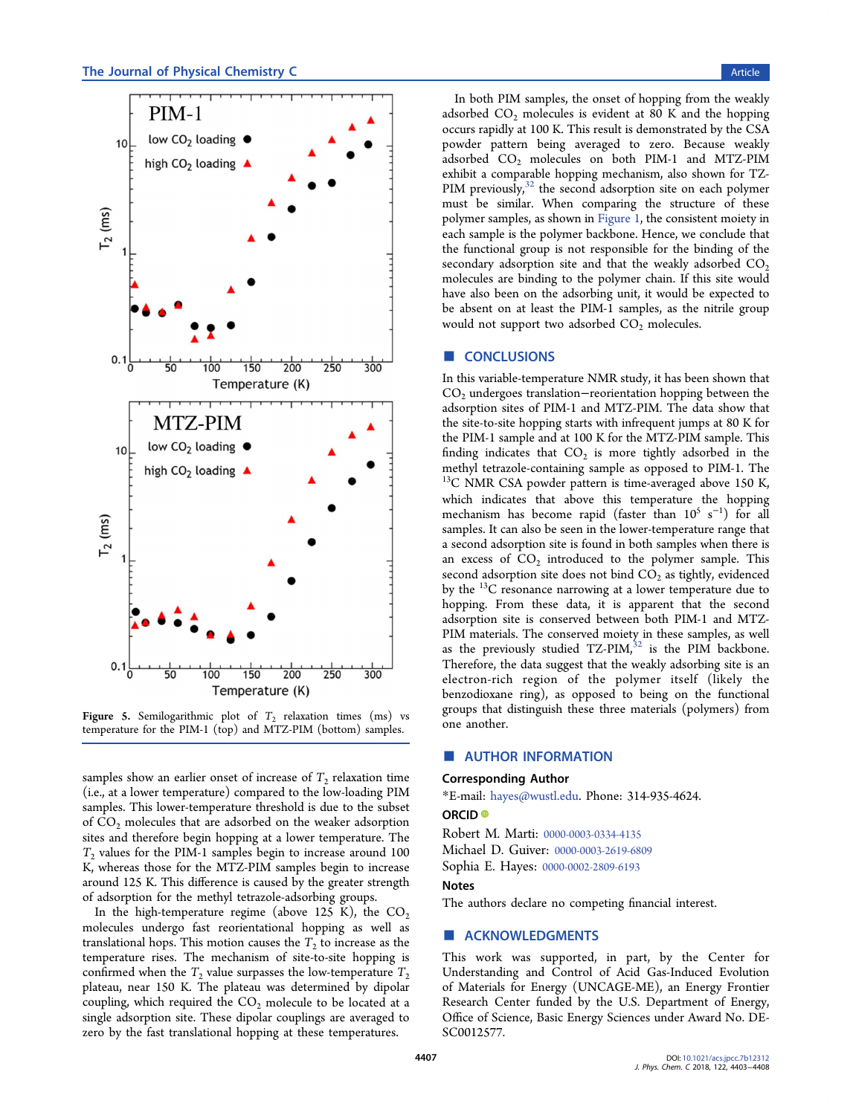<span id="page-5-0"></span>

Figure 5. Semilogarithmic plot of  $T_2$  relaxation times (ms) vs temperature for the PIM-1 (top) and MTZ-PIM (bottom) samples.

samples show an earlier onset of increase of  $T_{\rm 2}$  relaxation time (i.e., at a lower temperature) compared to the low-loading PIM samples. This lower-temperature threshold is due to the subset of  $CO<sub>2</sub>$  molecules that are adsorbed on the weaker adsorption sites and therefore begin hopping at a lower temperature. The  $T_2$  values for the PIM-1 samples begin to increase around 100 K, whereas those for the MTZ-PIM samples begin to increase around 125 K. This difference is caused by the greater strength of adsorption for the methyl tetrazole-adsorbing groups.

In the high-temperature regime (above 125 K), the  $CO<sub>2</sub>$ molecules undergo fast reorientational hopping as well as translational hops. This motion causes the  $T_2$  to increase as the temperature rises. The mechanism of site-to-site hopping is confirmed when the  $T_2$  value surpasses the low-temperature  $T_2$ plateau, near 150 K. The plateau was determined by dipolar coupling, which required the  $CO<sub>2</sub>$  molecule to be located at a single adsorption site. These dipolar couplings are averaged to zero by the fast translational hopping at these temperatures.

In both PIM samples, the onset of hopping from the weakly adsorbed  $CO<sub>2</sub>$  molecules is evident at 80 K and the hopping occurs rapidly at 100 K. This result is demonstrated by the CSA powder pattern being averaged to zero. Because weakly adsorbed CO<sub>2</sub> molecules on both PIM-1 and MTZ-PIM exhibit a comparable hopping mechanism, also shown for TZ-PIM previously,  $32$  the second adsorption site on each polymer must be similar. When comparing the structure of these polymer samples, as shown in [Figure 1,](#page-1-0) the consistent moiety in each sample is the polymer backbone. Hence, we conclude that the functional group is not responsible for the binding of the secondary adsorption site and that the weakly adsorbed  $CO<sub>2</sub>$ molecules are binding to the polymer chain. If this site would have also been on the adsorbing unit, it would be expected to be absent on at least the PIM-1 samples, as the nitrile group would not support two adsorbed  $CO<sub>2</sub>$  molecules.

### ■ **CONCLUSIONS**

In this variable-temperature NMR study, it has been shown that CO<sub>2</sub> undergoes translation−reorientation hopping between the adsorption sites of PIM-1 and MTZ-PIM. The data show that the site-to-site hopping starts with infrequent jumps at 80 K for the PIM-1 sample and at 100 K for the MTZ-PIM sample. This finding indicates that  $CO<sub>2</sub>$  is more tightly adsorbed in the methyl tetrazole-containing sample as opposed to PIM-1. The  $13C$  NMR CSA powder pattern is time-averaged above 150 K, which indicates that above this temperature the hopping mechanism has become rapid (faster than  $10^5$  s<sup>-1</sup>) for all samples. It can also be seen in the lower-temperature range that a second adsorption site is found in both samples when there is an excess of  $CO<sub>2</sub>$  introduced to the polymer sample. This second adsorption site does not bind  $CO<sub>2</sub>$  as tightly, evidenced by the <sup>13</sup>C resonance narrowing at a lower temperature due to hopping. From these data, it is apparent that the second adsorption site is conserved between both PIM-1 and MTZ-PIM materials. The conserved moiety in these samples, as well as the previously studied  $TZ-PIM$ ,<sup>[32](#page-6-0)</sup> is the PIM backbone. Therefore, the data suggest that the weakly adsorbing site is an electron-rich region of the polymer itself (likely the benzodioxane ring), as opposed to being on the functional groups that distinguish these three materials (polymers) from one another.

#### ■ AUTHOR INFORMATION

#### Corresponding Author

\*E-mail: [hayes@wustl.edu](mailto:hayes@wustl.edu). Phone: 314-935-4624.

#### ORCID<sup>®</sup>

Robert M. Marti: [0000-0003-0334-4135](http://orcid.org/0000-0003-0334-4135) Michael D. Guiver: [0000-0003-2619-6809](http://orcid.org/0000-0003-2619-6809) Sophia E. Hayes: [0000-0002-2809-6193](http://orcid.org/0000-0002-2809-6193)

#### Notes

The authors declare no competing financial interest.

#### **ACKNOWLEDGMENTS**

This work was supported, in part, by the Center for Understanding and Control of Acid Gas-Induced Evolution of Materials for Energy (UNCAGE-ME), an Energy Frontier Research Center funded by the U.S. Department of Energy, Office of Science, Basic Energy Sciences under Award No. DE-SC0012577.